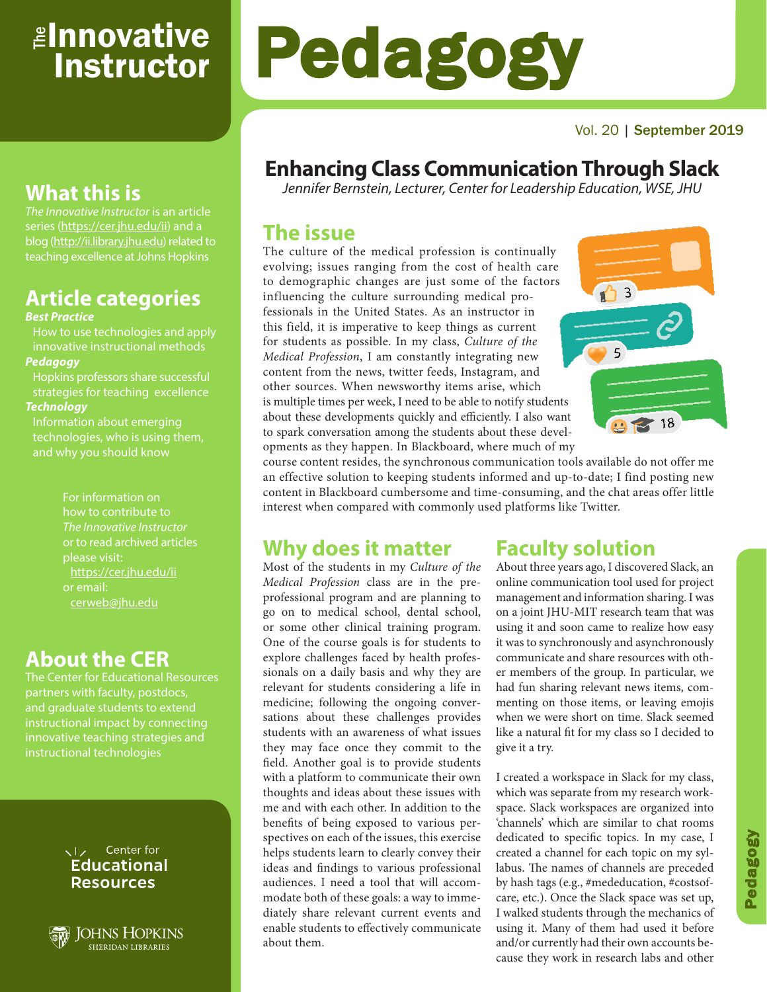# <sub>≝l</sub>nnovative **Instructor**

#### Vol. 20 | September 2019

# **Enhancing Class Communication Through Slack**

*Jennifer Bernstein, Lecturer, Center for Leadership Education, WSE, JHU*

### **The issue**

The culture of the medical profession is continually evolving; issues ranging from the cost of health care to demographic changes are just some of the factors influencing the culture surrounding medical professionals in the United States. As an instructor in this field, it is imperative to keep things as current for students as possible. In my class, *Culture of the Medical Profession*, I am constantly integrating new content from the news, twitter feeds, Instagram, and other sources. When newsworthy items arise, which is multiple times per week, I need to be able to notify students about these developments quickly and efficiently. I also want to spark conversation among the students about these developments as they happen. In Blackboard, where much of my

Pedagogy



course content resides, the synchronous communication tools available do not offer me an effective solution to keeping students informed and up-to-date; I find posting new content in Blackboard cumbersome and time-consuming, and the chat areas offer little interest when compared with commonly used platforms like Twitter.

## **Why does it matter**

Most of the students in my *Culture of the Medical Profession* class are in the preprofessional program and are planning to go on to medical school, dental school, or some other clinical training program. One of the course goals is for students to explore challenges faced by health professionals on a daily basis and why they are relevant for students considering a life in medicine; following the ongoing conversations about these challenges provides students with an awareness of what issues they may face once they commit to the field. Another goal is to provide students with a platform to communicate their own thoughts and ideas about these issues with me and with each other. In addition to the benefits of being exposed to various perspectives on each of the issues, this exercise helps students learn to clearly convey their ideas and findings to various professional audiences. I need a tool that will accommodate both of these goals: a way to immediately share relevant current events and enable students to effectively communicate about them.

## **Faculty solution**

About three years ago, I discovered Slack, an online communication tool used for project management and information sharing. I was on a joint JHU-MIT research team that was using it and soon came to realize how easy it was to synchronously and asynchronously communicate and share resources with other members of the group. In particular, we had fun sharing relevant news items, commenting on those items, or leaving emojis when we were short on time. Slack seemed like a natural fit for my class so I decided to give it a try.

I created a workspace in Slack for my class, which was separate from my research workspace. Slack workspaces are organized into 'channels' which are similar to chat rooms dedicated to specific topics. In my case, I created a channel for each topic on my syllabus. The names of channels are preceded by hash tags (e.g., #mededucation, #costsofcare, etc.). Once the Slack space was set up, I walked students through the mechanics of using it. Many of them had used it before and/or currently had their own accounts because they work in research labs and other

# **What this is**

*The Innovative Instructor* is an article series (https://cer.jhu.edu/ii) and a blog (http://ii.library.jhu.edu) related to teaching excellence at Johns Hopkins

# **Article categories**

#### *Best Practice*

How to use technologies and apply innovative instructional methods *Pedagogy*

Hopkins professors share successful strategies for teaching excellence

#### *Technology*

Information about emerging technologies, who is using them,

> For information on how to contribute to *The Innovative Instructor* or to read archived articles please visit: https://cer.jhu.edu/ii or email: cerweb@jhu.edu

## **About the CER**

The Center for Educational Resources partners with faculty, postdocs, and graduate students to extend innovative teaching strategies and instructional technologies